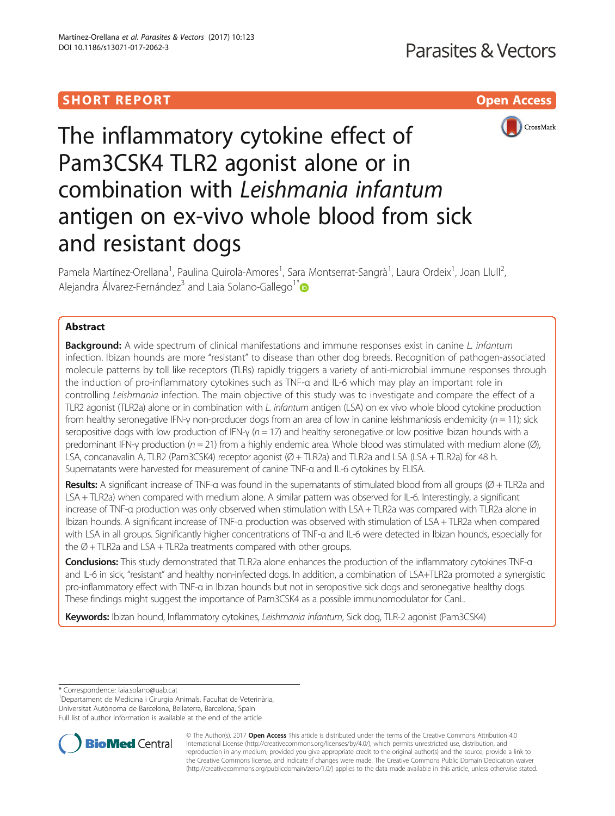# SHORT REPORT NAMEL AND THE SHORT CONSTRUCTION OF THE SHORT CONSTRUCTION OF THE SHOPT OF THE SHOPT OF THE SHOPT



The inflammatory cytokine effect of Pam3CSK4 TLR2 agonist alone or in combination with Leishmania infantum antigen on ex-vivo whole blood from sick and resistant dogs

Pamela Martínez-Orellana<sup>1</sup>, Paulina Quirola-Amores<sup>1</sup>, Sara Montserrat-Sangrà<sup>1</sup>, Laura Ordeix<sup>1</sup>, Joan Llull<sup>2</sup> , Alejandra Álvarez-Fernández<sup>3</sup> and Laia Solano-Gallego<sup>1[\\*](http://orcid.org/0000-0001-8479-4896)</sup>

# Abstract

**Background:** A wide spectrum of clinical manifestations and immune responses exist in canine L. infantum infection. Ibizan hounds are more "resistant" to disease than other dog breeds. Recognition of pathogen-associated molecule patterns by toll like receptors (TLRs) rapidly triggers a variety of anti-microbial immune responses through the induction of pro-inflammatory cytokines such as TNF-α and IL-6 which may play an important role in controlling Leishmania infection. The main objective of this study was to investigate and compare the effect of a TLR2 agonist (TLR2a) alone or in combination with L. infantum antigen (LSA) on ex vivo whole blood cytokine production from healthy seronegative IFN-γ non-producer dogs from an area of low in canine leishmaniosis endemicity ( $n = 11$ ); sick seropositive dogs with low production of IFN-γ ( $n = 17$ ) and healthy seronegative or low positive Ibizan hounds with a predominant IFN-γ production ( $n = 21$ ) from a highly endemic area. Whole blood was stimulated with medium alone (Ø), LSA, concanavalin A, TLR2 (Pam3CSK4) receptor agonist (Ø + TLR2a) and TLR2a and LSA (LSA + TLR2a) for 48 h. Supernatants were harvested for measurement of canine TNF-α and IL-6 cytokines by ELISA.

Results: A significant increase of TNF- $\alpha$  was found in the supernatants of stimulated blood from all groups ( $\emptyset$  + TLR2a and LSA + TLR2a) when compared with medium alone. A similar pattern was observed for IL-6. Interestingly, a significant increase of TNF-α production was only observed when stimulation with LSA + TLR2a was compared with TLR2a alone in Ibizan hounds. A significant increase of TNF-α production was observed with stimulation of LSA + TLR2a when compared with LSA in all groups. Significantly higher concentrations of TNF-α and IL-6 were detected in Ibizan hounds, especially for the  $\emptyset$  + TLR2a and LSA + TLR2a treatments compared with other groups.

Conclusions: This study demonstrated that TLR2a alone enhances the production of the inflammatory cytokines TNF- $\alpha$ and IL-6 in sick, "resistant" and healthy non-infected dogs. In addition, a combination of LSA+TLR2a promoted a synergistic pro-inflammatory effect with TNF-α in Ibizan hounds but not in seropositive sick dogs and seronegative healthy dogs. These findings might suggest the importance of Pam3CSK4 as a possible immunomodulator for CanL.

Keywords: Ibizan hound, Inflammatory cytokines, Leishmania infantum, Sick dog, TLR-2 agonist (Pam3CSK4)

\* Correspondence: [laia.solano@uab.cat](mailto:laia.solano@uab.cat) <sup>1</sup>

<sup>1</sup>Departament de Medicina i Cirurgia Animals, Facultat de Veterinària, Universitat Autònoma de Barcelona, Bellaterra, Barcelona, Spain Full list of author information is available at the end of the article



© The Author(s). 2017 **Open Access** This article is distributed under the terms of the Creative Commons Attribution 4.0 International License [\(http://creativecommons.org/licenses/by/4.0/](http://creativecommons.org/licenses/by/4.0/)), which permits unrestricted use, distribution, and reproduction in any medium, provided you give appropriate credit to the original author(s) and the source, provide a link to the Creative Commons license, and indicate if changes were made. The Creative Commons Public Domain Dedication waiver [\(http://creativecommons.org/publicdomain/zero/1.0/](http://creativecommons.org/publicdomain/zero/1.0/)) applies to the data made available in this article, unless otherwise stated.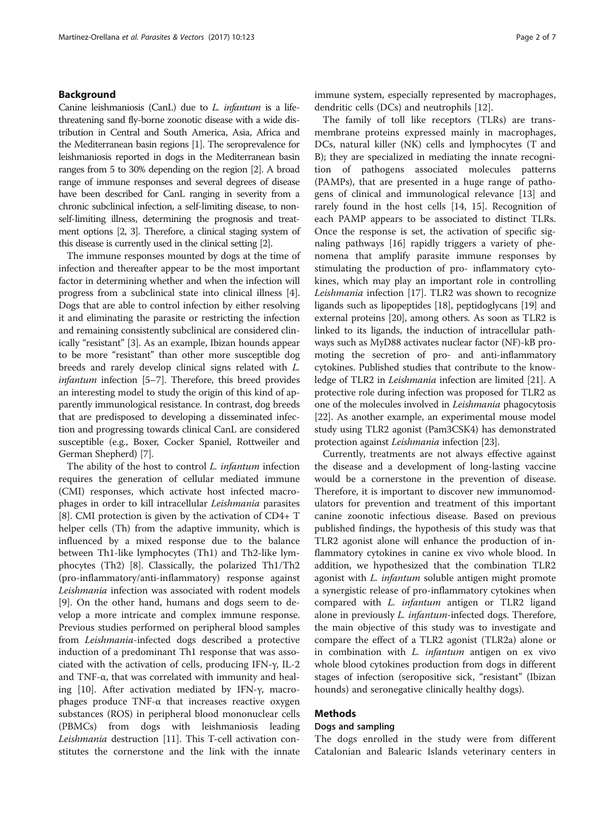# Background

Canine leishmaniosis (CanL) due to L. infantum is a lifethreatening sand fly-borne zoonotic disease with a wide distribution in Central and South America, Asia, Africa and the Mediterranean basin regions [[1](#page-5-0)]. The seroprevalence for leishmaniosis reported in dogs in the Mediterranean basin ranges from 5 to 30% depending on the region [[2](#page-5-0)]. A broad range of immune responses and several degrees of disease have been described for CanL ranging in severity from a chronic subclinical infection, a self-limiting disease, to nonself-limiting illness, determining the prognosis and treatment options [\[2,](#page-5-0) [3](#page-6-0)]. Therefore, a clinical staging system of this disease is currently used in the clinical setting [\[2](#page-5-0)].

The immune responses mounted by dogs at the time of infection and thereafter appear to be the most important factor in determining whether and when the infection will progress from a subclinical state into clinical illness [[4](#page-6-0)]. Dogs that are able to control infection by either resolving it and eliminating the parasite or restricting the infection and remaining consistently subclinical are considered clinically "resistant" [\[3](#page-6-0)]. As an example, Ibizan hounds appear to be more "resistant" than other more susceptible dog breeds and rarely develop clinical signs related with L. infantum infection [[5](#page-6-0)–[7](#page-6-0)]. Therefore, this breed provides an interesting model to study the origin of this kind of apparently immunological resistance. In contrast, dog breeds that are predisposed to developing a disseminated infection and progressing towards clinical CanL are considered susceptible (e.g., Boxer, Cocker Spaniel, Rottweiler and German Shepherd) [[7\]](#page-6-0).

The ability of the host to control *L. infantum* infection requires the generation of cellular mediated immune (CMI) responses, which activate host infected macrophages in order to kill intracellular Leishmania parasites [[8\]](#page-6-0). CMI protection is given by the activation of CD4+ T helper cells (Th) from the adaptive immunity, which is influenced by a mixed response due to the balance between Th1-like lymphocytes (Th1) and Th2-like lymphocytes (Th2) [[8\]](#page-6-0). Classically, the polarized Th1/Th2 (pro-inflammatory/anti-inflammatory) response against Leishmania infection was associated with rodent models [[9\]](#page-6-0). On the other hand, humans and dogs seem to develop a more intricate and complex immune response. Previous studies performed on peripheral blood samples from Leishmania-infected dogs described a protective induction of a predominant Th1 response that was associated with the activation of cells, producing IFN-γ, IL-2 and TNF- $\alpha$ , that was correlated with immunity and healing [\[10](#page-6-0)]. After activation mediated by IFN-γ, macrophages produce TNF-α that increases reactive oxygen substances (ROS) in peripheral blood mononuclear cells (PBMCs) from dogs with leishmaniosis leading Leishmania destruction [[11\]](#page-6-0). This T-cell activation constitutes the cornerstone and the link with the innate immune system, especially represented by macrophages, dendritic cells (DCs) and neutrophils [[12](#page-6-0)].

The family of toll like receptors (TLRs) are transmembrane proteins expressed mainly in macrophages, DCs, natural killer (NK) cells and lymphocytes (T and B); they are specialized in mediating the innate recognition of pathogens associated molecules patterns (PAMPs), that are presented in a huge range of pathogens of clinical and immunological relevance [[13\]](#page-6-0) and rarely found in the host cells [[14, 15\]](#page-6-0). Recognition of each PAMP appears to be associated to distinct TLRs. Once the response is set, the activation of specific signaling pathways [\[16\]](#page-6-0) rapidly triggers a variety of phenomena that amplify parasite immune responses by stimulating the production of pro- inflammatory cytokines, which may play an important role in controlling Leishmania infection [[17\]](#page-6-0). TLR2 was shown to recognize ligands such as lipopeptides [[18\]](#page-6-0), peptidoglycans [[19](#page-6-0)] and external proteins [\[20\]](#page-6-0), among others. As soon as TLR2 is linked to its ligands, the induction of intracellular pathways such as MyD88 activates nuclear factor (NF)-kB promoting the secretion of pro- and anti-inflammatory cytokines. Published studies that contribute to the knowledge of TLR2 in Leishmania infection are limited [[21](#page-6-0)]. A protective role during infection was proposed for TLR2 as one of the molecules involved in Leishmania phagocytosis [[22](#page-6-0)]. As another example, an experimental mouse model study using TLR2 agonist (Pam3CSK4) has demonstrated protection against Leishmania infection [\[23\]](#page-6-0).

Currently, treatments are not always effective against the disease and a development of long-lasting vaccine would be a cornerstone in the prevention of disease. Therefore, it is important to discover new immunomodulators for prevention and treatment of this important canine zoonotic infectious disease. Based on previous published findings, the hypothesis of this study was that TLR2 agonist alone will enhance the production of inflammatory cytokines in canine ex vivo whole blood. In addition, we hypothesized that the combination TLR2 agonist with L. infantum soluble antigen might promote a synergistic release of pro-inflammatory cytokines when compared with *L. infantum* antigen or TLR2 ligand alone in previously L. infantum-infected dogs. Therefore, the main objective of this study was to investigate and compare the effect of a TLR2 agonist (TLR2a) alone or in combination with L. infantum antigen on ex vivo whole blood cytokines production from dogs in different stages of infection (seropositive sick, "resistant" (Ibizan hounds) and seronegative clinically healthy dogs).

# Methods

# Dogs and sampling

The dogs enrolled in the study were from different Catalonian and Balearic Islands veterinary centers in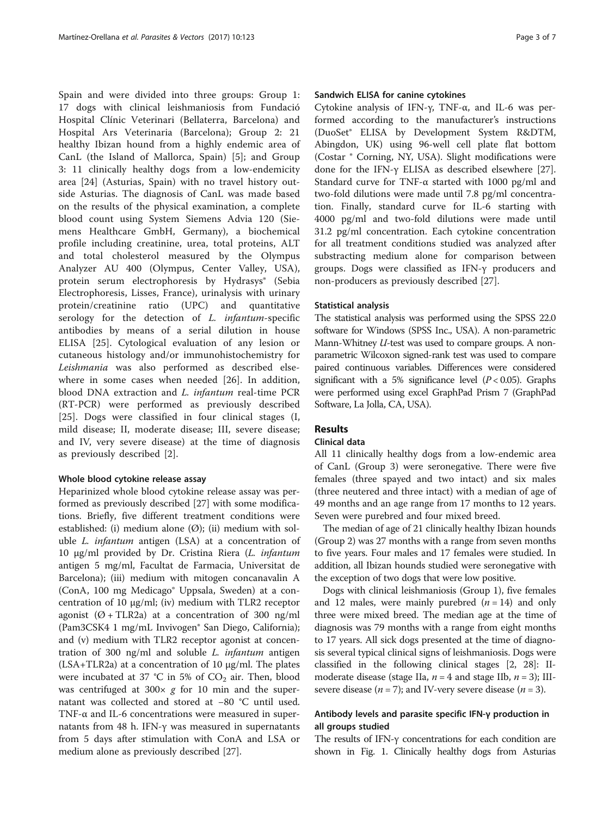Spain and were divided into three groups: Group 1: 17 dogs with clinical leishmaniosis from Fundació Hospital Clínic Veterinari (Bellaterra, Barcelona) and Hospital Ars Veterinaria (Barcelona); Group 2: 21 healthy Ibizan hound from a highly endemic area of CanL (the Island of Mallorca, Spain) [[5\]](#page-6-0); and Group 3: 11 clinically healthy dogs from a low-endemicity area [[24\]](#page-6-0) (Asturias, Spain) with no travel history outside Asturias. The diagnosis of CanL was made based on the results of the physical examination, a complete blood count using System Siemens Advia 120 (Siemens Healthcare GmbH, Germany), a biochemical profile including creatinine, urea, total proteins, ALT and total cholesterol measured by the Olympus Analyzer AU 400 (Olympus, Center Valley, USA), protein serum electrophoresis by Hydrasys® (Sebia Electrophoresis, Lisses, France), urinalysis with urinary protein/creatinine ratio (UPC) and quantitative serology for the detection of *L. infantum-specific* antibodies by means of a serial dilution in house ELISA [[25\]](#page-6-0). Cytological evaluation of any lesion or cutaneous histology and/or immunohistochemistry for Leishmania was also performed as described elsewhere in some cases when needed [\[26](#page-6-0)]. In addition, blood DNA extraction and L. infantum real-time PCR (RT-PCR) were performed as previously described [[25\]](#page-6-0). Dogs were classified in four clinical stages (I, mild disease; II, moderate disease; III, severe disease; and IV, very severe disease) at the time of diagnosis as previously described [\[2](#page-5-0)].

### Whole blood cytokine release assay

Heparinized whole blood cytokine release assay was performed as previously described [\[27](#page-6-0)] with some modifications. Briefly, five different treatment conditions were established: (i) medium alone (Ø); (ii) medium with soluble L. infantum antigen (LSA) at a concentration of 10 μg/ml provided by Dr. Cristina Riera (L. infantum antigen 5 mg/ml, Facultat de Farmacia, Universitat de Barcelona); (iii) medium with mitogen concanavalin A (ConA, 100 mg Medicago® Uppsala, Sweden) at a concentration of 10 μg/ml; (iv) medium with TLR2 receptor agonist  $(\emptyset + TLR2a)$  at a concentration of 300 ng/ml (Pam3CSK4 1 mg/mL Invivogen® San Diego, California); and (v) medium with TLR2 receptor agonist at concentration of 300 ng/ml and soluble  $L$ . infantum antigen  $(LSA+TLR2a)$  at a concentration of 10  $\mu$ g/ml. The plates were incubated at 37 °C in 5% of  $CO<sub>2</sub>$  air. Then, blood was centrifuged at  $300 \times g$  for 10 min and the supernatant was collected and stored at −80 °C until used. TNF-α and IL-6 concentrations were measured in supernatants from 48 h. IFN-γ was measured in supernatants from 5 days after stimulation with ConA and LSA or medium alone as previously described [[27\]](#page-6-0).

# Sandwich ELISA for canine cytokines

Cytokine analysis of IFN-γ, TNF-α, and IL-6 was performed according to the manufacturer's instructions (DuoSet® ELISA by Development System R&DTM, Abingdon, UK) using 96-well cell plate flat bottom (Costar ® Corning, NY, USA). Slight modifications were done for the IFN-γ ELISA as described elsewhere [\[27](#page-6-0)]. Standard curve for TNF-α started with 1000 pg/ml and two-fold dilutions were made until 7.8 pg/ml concentration. Finally, standard curve for IL-6 starting with 4000 pg/ml and two-fold dilutions were made until 31.2 pg/ml concentration. Each cytokine concentration for all treatment conditions studied was analyzed after substracting medium alone for comparison between groups. Dogs were classified as IFN-γ producers and non-producers as previously described [[27](#page-6-0)].

### Statistical analysis

The statistical analysis was performed using the SPSS 22.0 software for Windows (SPSS Inc., USA). A non-parametric Mann-Whitney U-test was used to compare groups. A nonparametric Wilcoxon signed-rank test was used to compare paired continuous variables. Differences were considered significant with a 5% significance level  $(P < 0.05)$ . Graphs were performed using excel GraphPad Prism 7 (GraphPad Software, La Jolla, CA, USA).

# Results

# Clinical data

All 11 clinically healthy dogs from a low-endemic area of CanL (Group 3) were seronegative. There were five females (three spayed and two intact) and six males (three neutered and three intact) with a median of age of 49 months and an age range from 17 months to 12 years. Seven were purebred and four mixed breed.

The median of age of 21 clinically healthy Ibizan hounds (Group 2) was 27 months with a range from seven months to five years. Four males and 17 females were studied. In addition, all Ibizan hounds studied were seronegative with the exception of two dogs that were low positive.

Dogs with clinical leishmaniosis (Group 1), five females and 12 males, were mainly purebred  $(n = 14)$  and only three were mixed breed. The median age at the time of diagnosis was 79 months with a range from eight months to 17 years. All sick dogs presented at the time of diagnosis several typical clinical signs of leishmaniosis. Dogs were classified in the following clinical stages [\[2](#page-5-0), [28\]](#page-6-0): IImoderate disease (stage IIa,  $n = 4$  and stage IIb,  $n = 3$ ); IIIsevere disease ( $n = 7$ ); and IV-very severe disease ( $n = 3$ ).

# Antibody levels and parasite specific IFN-γ production in all groups studied

The results of IFN-γ concentrations for each condition are shown in Fig. [1.](#page-3-0) Clinically healthy dogs from Asturias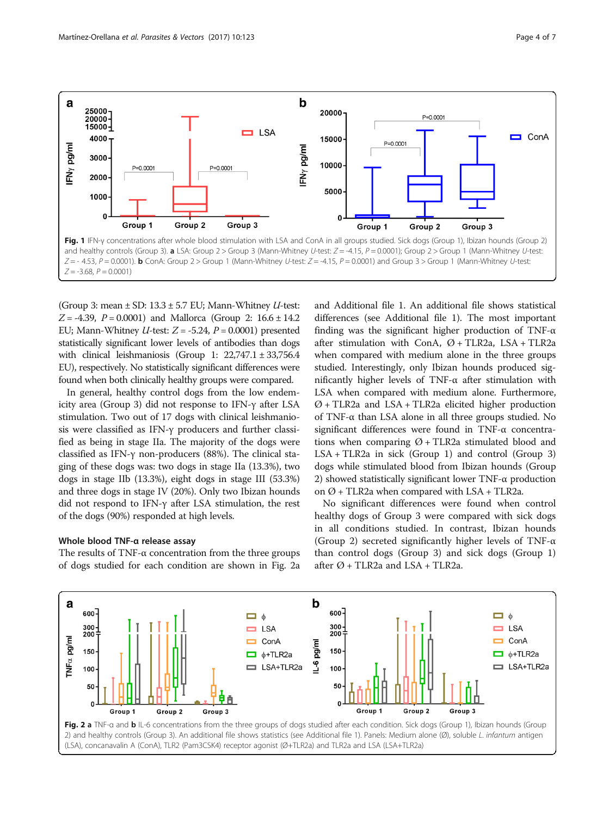<span id="page-3-0"></span>

(Group 3: mean  $\pm$  SD: 13.3  $\pm$  5.7 EU; Mann-Whitney *U*-test:  $Z = -4.39$ ,  $P = 0.0001$ ) and Mallorca (Group 2: 16.6  $\pm$  14.2 EU; Mann-Whitney *U*-test:  $Z = -5.24$ ,  $P = 0.0001$ ) presented statistically significant lower levels of antibodies than dogs with clinical leishmaniosis (Group 1: 22,747.1 ± 33,756.4 EU), respectively. No statistically significant differences were found when both clinically healthy groups were compared.

In general, healthy control dogs from the low endemicity area (Group 3) did not response to IFN-γ after LSA stimulation. Two out of 17 dogs with clinical leishmaniosis were classified as IFN-γ producers and further classified as being in stage IIa. The majority of the dogs were classified as IFN-γ non-producers (88%). The clinical staging of these dogs was: two dogs in stage IIa (13.3%), two dogs in stage IIb (13.3%), eight dogs in stage III (53.3%) and three dogs in stage IV (20%). Only two Ibizan hounds did not respond to IFN-γ after LSA stimulation, the rest of the dogs (90%) responded at high levels.

### Whole blood TNF-α release assay

The results of TNF- $\alpha$  concentration from the three groups of dogs studied for each condition are shown in Fig. 2a and Additional file [1.](#page-5-0) An additional file shows statistical differences (see Additional file [1](#page-5-0)). The most important finding was the significant higher production of TNF- $\alpha$ after stimulation with ConA,  $\varnothing$  + TLR2a, LSA + TLR2a when compared with medium alone in the three groups studied. Interestingly, only Ibizan hounds produced significantly higher levels of TNF-α after stimulation with LSA when compared with medium alone. Furthermore,  $Ø + TLR2a$  and  $LSA + TLR2a$  elicited higher production of TNF-α than LSA alone in all three groups studied. No significant differences were found in TNF-α concentrations when comparing  $\varnothing$  + TLR2a stimulated blood and  $LSA + TLR2a$  in sick (Group 1) and control (Group 3) dogs while stimulated blood from Ibizan hounds (Group 2) showed statistically significant lower TNF-α production on  $\varnothing$  + TLR2a when compared with LSA + TLR2a.

No significant differences were found when control healthy dogs of Group 3 were compared with sick dogs in all conditions studied. In contrast, Ibizan hounds (Group 2) secreted significantly higher levels of TNF-α than control dogs (Group 3) and sick dogs (Group 1) after  $\varnothing$  + TLR2a and LSA + TLR2a.

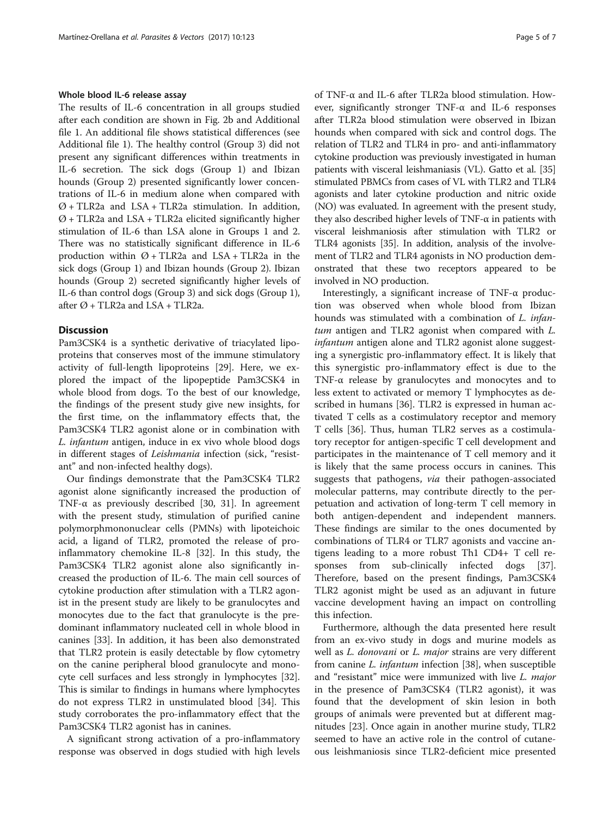### Whole blood IL-6 release assay

The results of IL-6 concentration in all groups studied after each condition are shown in Fig. [2b](#page-3-0) and Additional file [1](#page-5-0). An additional file shows statistical differences (see Additional file [1](#page-5-0)). The healthy control (Group 3) did not present any significant differences within treatments in IL-6 secretion. The sick dogs (Group 1) and Ibizan hounds (Group 2) presented significantly lower concentrations of IL-6 in medium alone when compared with  $Ø + TLR2a$  and  $LSA + TLR2a$  stimulation. In addition,  $Ø + TLR2a$  and  $LSA + TLR2a$  elicited significantly higher stimulation of IL-6 than LSA alone in Groups 1 and 2. There was no statistically significant difference in IL-6 production within  $\varnothing$  + TLR2a and LSA + TLR2a in the sick dogs (Group 1) and Ibizan hounds (Group 2). Ibizan hounds (Group 2) secreted significantly higher levels of IL-6 than control dogs (Group 3) and sick dogs (Group 1), after  $\varnothing$  + TLR2a and LSA + TLR2a.

### **Discussion**

Pam3CSK4 is a synthetic derivative of triacylated lipoproteins that conserves most of the immune stimulatory activity of full-length lipoproteins [[29](#page-6-0)]. Here, we explored the impact of the lipopeptide Pam3CSK4 in whole blood from dogs. To the best of our knowledge, the findings of the present study give new insights, for the first time, on the inflammatory effects that, the Pam3CSK4 TLR2 agonist alone or in combination with L. infantum antigen, induce in ex vivo whole blood dogs in different stages of Leishmania infection (sick, "resistant" and non-infected healthy dogs).

Our findings demonstrate that the Pam3CSK4 TLR2 agonist alone significantly increased the production of TNF- $\alpha$  as previously described [[30, 31\]](#page-6-0). In agreement with the present study, stimulation of purified canine polymorphmononuclear cells (PMNs) with lipoteichoic acid, a ligand of TLR2, promoted the release of proinflammatory chemokine IL-8 [\[32\]](#page-6-0). In this study, the Pam3CSK4 TLR2 agonist alone also significantly increased the production of IL-6. The main cell sources of cytokine production after stimulation with a TLR2 agonist in the present study are likely to be granulocytes and monocytes due to the fact that granulocyte is the predominant inflammatory nucleated cell in whole blood in canines [[33\]](#page-6-0). In addition, it has been also demonstrated that TLR2 protein is easily detectable by flow cytometry on the canine peripheral blood granulocyte and monocyte cell surfaces and less strongly in lymphocytes [\[32](#page-6-0)]. This is similar to findings in humans where lymphocytes do not express TLR2 in unstimulated blood [[34\]](#page-6-0). This study corroborates the pro-inflammatory effect that the Pam3CSK4 TLR2 agonist has in canines.

A significant strong activation of a pro-inflammatory response was observed in dogs studied with high levels of TNF-α and IL-6 after TLR2a blood stimulation. However, significantly stronger TNF-α and IL-6 responses after TLR2a blood stimulation were observed in Ibizan hounds when compared with sick and control dogs. The relation of TLR2 and TLR4 in pro- and anti-inflammatory cytokine production was previously investigated in human patients with visceral leishmaniasis (VL). Gatto et al. [[35](#page-6-0)] stimulated PBMCs from cases of VL with TLR2 and TLR4 agonists and later cytokine production and nitric oxide (NO) was evaluated. In agreement with the present study, they also described higher levels of TNF- $\alpha$  in patients with visceral leishmaniosis after stimulation with TLR2 or TLR4 agonists [\[35](#page-6-0)]. In addition, analysis of the involvement of TLR2 and TLR4 agonists in NO production demonstrated that these two receptors appeared to be involved in NO production.

Interestingly, a significant increase of TNF-α production was observed when whole blood from Ibizan hounds was stimulated with a combination of L. infan $tum$  antigen and TLR2 agonist when compared with  $L.$ infantum antigen alone and TLR2 agonist alone suggesting a synergistic pro-inflammatory effect. It is likely that this synergistic pro-inflammatory effect is due to the TNF-α release by granulocytes and monocytes and to less extent to activated or memory T lymphocytes as described in humans [[36\]](#page-6-0). TLR2 is expressed in human activated T cells as a costimulatory receptor and memory T cells [\[36](#page-6-0)]. Thus, human TLR2 serves as a costimulatory receptor for antigen-specific T cell development and participates in the maintenance of T cell memory and it is likely that the same process occurs in canines. This suggests that pathogens, via their pathogen-associated molecular patterns, may contribute directly to the perpetuation and activation of long-term T cell memory in both antigen-dependent and independent manners. These findings are similar to the ones documented by combinations of TLR4 or TLR7 agonists and vaccine antigens leading to a more robust Th1 CD4+ T cell responses from sub-clinically infected dogs [\[37](#page-6-0)]. Therefore, based on the present findings, Pam3CSK4 TLR2 agonist might be used as an adjuvant in future vaccine development having an impact on controlling this infection.

Furthermore, although the data presented here result from an ex-vivo study in dogs and murine models as well as *L. donovani* or *L. major* strains are very different from canine L. infantum infection [[38\]](#page-6-0), when susceptible and "resistant" mice were immunized with live L. major in the presence of Pam3CSK4 (TLR2 agonist), it was found that the development of skin lesion in both groups of animals were prevented but at different magnitudes [\[23\]](#page-6-0). Once again in another murine study, TLR2 seemed to have an active role in the control of cutaneous leishmaniosis since TLR2-deficient mice presented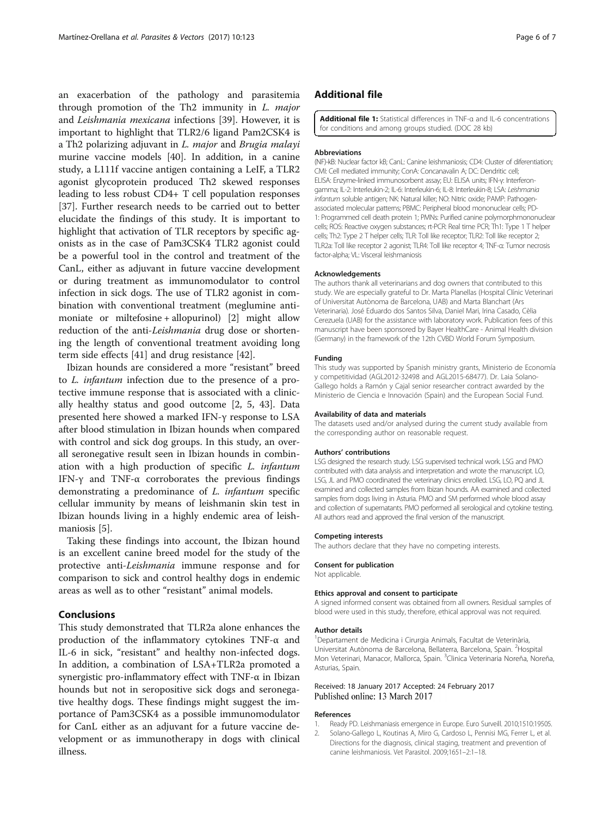<span id="page-5-0"></span>an exacerbation of the pathology and parasitemia through promotion of the Th2 immunity in L. major and Leishmania mexicana infections [\[39\]](#page-6-0). However, it is important to highlight that TLR2/6 ligand Pam2CSK4 is a Th2 polarizing adjuvant in L. major and Brugia malayi murine vaccine models [[40\]](#page-6-0). In addition, in a canine study, a L111f vaccine antigen containing a LeIF, a TLR2 agonist glycoprotein produced Th2 skewed responses leading to less robust CD4+ T cell population responses [[37\]](#page-6-0). Further research needs to be carried out to better elucidate the findings of this study. It is important to highlight that activation of TLR receptors by specific agonists as in the case of Pam3CSK4 TLR2 agonist could be a powerful tool in the control and treatment of the CanL, either as adjuvant in future vaccine development or during treatment as immunomodulator to control infection in sick dogs. The use of TLR2 agonist in combination with conventional treatment (meglumine antimoniate or miltefosine + allopurinol) [2] might allow reduction of the anti-Leishmania drug dose or shortening the length of conventional treatment avoiding long term side effects [\[41\]](#page-6-0) and drug resistance [[42\]](#page-6-0).

Ibizan hounds are considered a more "resistant" breed to L. infantum infection due to the presence of a protective immune response that is associated with a clinically healthy status and good outcome [2, [5](#page-6-0), [43](#page-6-0)]. Data presented here showed a marked IFN-γ response to LSA after blood stimulation in Ibizan hounds when compared with control and sick dog groups. In this study, an overall seronegative result seen in Ibizan hounds in combination with a high production of specific L. infantum IFN- $\gamma$  and TNF- $\alpha$  corroborates the previous findings demonstrating a predominance of L. infantum specific cellular immunity by means of leishmanin skin test in Ibizan hounds living in a highly endemic area of leishmaniosis [[5\]](#page-6-0).

Taking these findings into account, the Ibizan hound is an excellent canine breed model for the study of the protective anti-Leishmania immune response and for comparison to sick and control healthy dogs in endemic areas as well as to other "resistant" animal models.

### Conclusions

This study demonstrated that TLR2a alone enhances the production of the inflammatory cytokines TNF-α and IL-6 in sick, "resistant" and healthy non-infected dogs. In addition, a combination of LSA+TLR2a promoted a synergistic pro-inflammatory effect with TNF-α in Ibizan hounds but not in seropositive sick dogs and seronegative healthy dogs. These findings might suggest the importance of Pam3CSK4 as a possible immunomodulator for CanL either as an adjuvant for a future vaccine development or as immunotherapy in dogs with clinical illness.

# Additional file

[Additional file 1:](dx.doi.org/10.1186/s13071-017-2062-3) Statistical differences in TNF-α and IL-6 concentrations for conditions and among groups studied. (DOC 28 kb)

#### Abbreviations

(NF)-kB: Nuclear factor kB; CanL: Canine leishmaniosis; CD4: Cluster of diferentiation; CMI: Cell mediated immunity; ConA: Concanavalin A; DC: Dendritic cell; ELISA: Enzyme-linked immunosorbent assay; EU: ELISA units; IFN-γ: Interferongamma; IL-2: Interleukin-2; IL-6: Interleukin-6; IL-8: Interleukin-8; LSA: Leishmania infantum soluble antigen; NK: Natural killer; NO: Nitric oxide; PAMP: Pathogenassociated molecular patterns; PBMC: Peripheral blood mononuclear cells; PD-1: Programmed cell death protein 1; PMNs: Purified canine polymorphmononuclear cells; ROS: Reactive oxygen substances; rt-PCR: Real time PCR; Th1: Type 1 T helper cells; Th2: Type 2 T helper cells; TLR: Toll like receptor; TLR2: Toll like receptor 2; TLR2a: Toll like receptor 2 agonist; TLR4: Toll like receptor 4; TNF-α: Tumor necrosis factor-alpha; VL: Visceral leishmaniosis

#### Acknowledgements

The authors thank all veterinarians and dog owners that contributed to this study. We are especially grateful to Dr. Marta Planellas (Hospital Clínic Veterinari of Universitat Autònoma de Barcelona, UAB) and Marta Blanchart (Ars Veterinaria). José Eduardo dos Santos Silva, Daniel Mari, Irina Casado, Cèlia Cerezuela (UAB) for the assistance with laboratory work. Publication fees of this manuscript have been sponsored by Bayer HealthCare - Animal Health division (Germany) in the framework of the 12th CVBD World Forum Symposium.

#### Funding

This study was supported by Spanish ministry grants, Ministerio de Economía y competitividad (AGL2012-32498 and AGL2015-68477). Dr. Laia Solano-Gallego holds a Ramón y Cajal senior researcher contract awarded by the Ministerio de Ciencia e Innovación (Spain) and the European Social Fund.

#### Availability of data and materials

The datasets used and/or analysed during the current study available from the corresponding author on reasonable request.

#### Authors' contributions

LSG designed the research study. LSG supervised technical work. LSG and PMO contributed with data analysis and interpretation and wrote the manuscript. LO, LSG, JL and PMO coordinated the veterinary clinics enrolled. LSG, LO, PQ and JL examined and collected samples from Ibizan hounds. AA examined and collected samples from dogs living in Asturia. PMO and SM performed whole blood assay and collection of supernatants. PMO performed all serological and cytokine testing. All authors read and approved the final version of the manuscript.

#### Competing interests

The authors declare that they have no competing interests.

#### Consent for publication

Not applicable.

#### Ethics approval and consent to participate

A signed informed consent was obtained from all owners. Residual samples of blood were used in this study, therefore, ethical approval was not required.

#### Author details

<sup>1</sup>Departament de Medicina i Cirurgia Animals, Facultat de Veterinària, Universitat Autònoma de Barcelona, Bellaterra, Barcelona, Spain. <sup>2</sup>Hospital Mon Veterinari, Manacor, Mallorca, Spain. <sup>3</sup>Clinica Veterinaria Noreña, Noreña, Asturias, Spain.

### Received: 18 January 2017 Accepted: 24 February 2017 Published online: 13 March 2017

### References

- 1. Ready PD. Leishmaniasis emergence in Europe. Euro Surveill. 2010;1510:19505. 2. Solano-Gallego L, Koutinas A, Miro G, Cardoso L, Pennisi MG, Ferrer L, et al.
- Directions for the diagnosis, clinical staging, treatment and prevention of canine leishmaniosis. Vet Parasitol. 2009;1651–2:1–18.